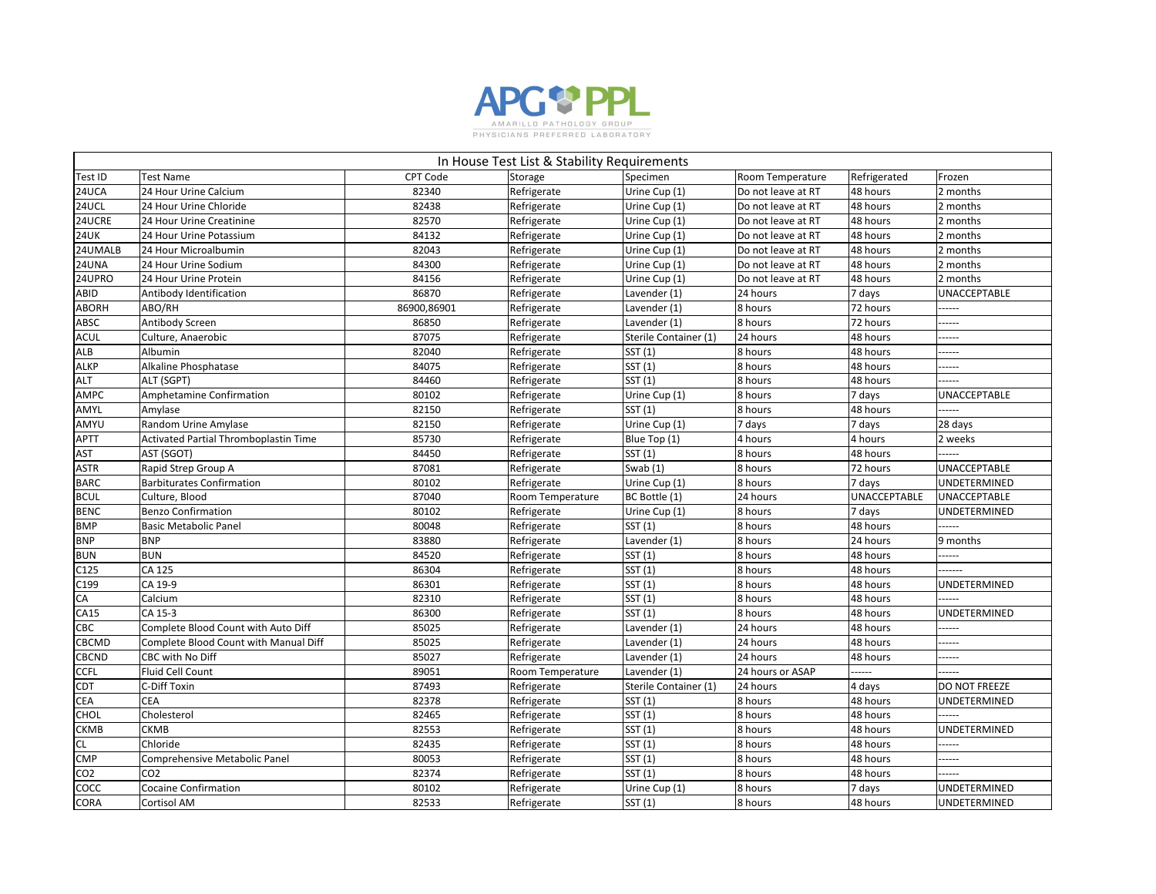

|                 | In House Test List & Stability Requirements |                 |                  |                       |                    |                     |                     |  |  |
|-----------------|---------------------------------------------|-----------------|------------------|-----------------------|--------------------|---------------------|---------------------|--|--|
| Test ID         | <b>Test Name</b>                            | <b>CPT Code</b> | <b>Storage</b>   | Specimen              | Room Temperature   | Refrigerated        | Frozen              |  |  |
| <b>24UCA</b>    | 24 Hour Urine Calcium                       | 82340           | Refrigerate      | Urine Cup (1)         | Do not leave at RT | 48 hours            | 2 months            |  |  |
| <b>24UCL</b>    | 24 Hour Urine Chloride                      | 82438           | Refrigerate      | Urine Cup (1)         | Do not leave at RT | 48 hours            | 2 months            |  |  |
| 24UCRE          | 24 Hour Urine Creatinine                    | 82570           | Refrigerate      | Urine Cup (1)         | Do not leave at RT | 48 hours            | 2 months            |  |  |
| <b>24UK</b>     | 24 Hour Urine Potassium                     | 84132           | Refrigerate      | Urine Cup (1)         | Do not leave at RT | 48 hours            | 2 months            |  |  |
| 24UMALB         | 24 Hour Microalbumin                        | 82043           | Refrigerate      | Urine Cup (1)         | Do not leave at RT | 48 hours            | 2 months            |  |  |
| 24UNA           | 24 Hour Urine Sodium                        | 84300           | Refrigerate      | Urine Cup (1)         | Do not leave at RT | 48 hours            | 2 months            |  |  |
| 24UPRO          | 24 Hour Urine Protein                       | 84156           | Refrigerate      | Urine Cup (1)         | Do not leave at RT | 48 hours            | 2 months            |  |  |
| ABID            | Antibody Identification                     | 86870           | Refrigerate      | Lavender (1)          | 24 hours           | 7 days              | <b>UNACCEPTABLE</b> |  |  |
| <b>ABORH</b>    | ABO/RH                                      | 86900,86901     | Refrigerate      | Lavender (1)          | 8 hours            | 72 hours            | -----               |  |  |
| <b>ABSC</b>     | Antibody Screen                             | 86850           | Refrigerate      | Lavender (1)          | 8 hours            | 72 hours            | -----               |  |  |
| <b>ACUL</b>     | Culture, Anaerobic                          | 87075           | Refrigerate      | Sterile Container (1) | 24 hours           | 48 hours            | -----               |  |  |
| <b>ALB</b>      | Albumin                                     | 82040           | Refrigerate      | SST(1)                | 8 hours            | 48 hours            | -----               |  |  |
| <b>ALKP</b>     | Alkaline Phosphatase                        | 84075           | Refrigerate      | SST (1)               | 8 hours            | 48 hours            | -----               |  |  |
| <b>ALT</b>      | ALT (SGPT)                                  | 84460           | Refrigerate      | SST(1)                | 8 hours            | 48 hours            |                     |  |  |
| <b>AMPC</b>     | Amphetamine Confirmation                    | 80102           | Refrigerate      | Urine Cup (1)         | 8 hours            | 7 days              | <b>UNACCEPTABLE</b> |  |  |
| AMYL            | Amylase                                     | 82150           | Refrigerate      | SST(1)                | 8 hours            | 48 hours            | -----               |  |  |
| AMYU            | Random Urine Amylase                        | 82150           | Refrigerate      | Urine Cup (1)         | 7 days             | 7 days              | 28 days             |  |  |
| <b>APTT</b>     | Activated Partial Thromboplastin Time       | 85730           | Refrigerate      | Blue Top (1)          | 4 hours            | 4 hours             | 2 weeks             |  |  |
| <b>AST</b>      | AST (SGOT)                                  | 84450           | Refrigerate      | SST(1)                | 8 hours            | 48 hours            | -----               |  |  |
| <b>ASTR</b>     | Rapid Strep Group A                         | 87081           | Refrigerate      | Swab $(1)$            | 8 hours            | 72 hours            | <b>UNACCEPTABLE</b> |  |  |
| <b>BARC</b>     | <b>Barbiturates Confirmation</b>            | 80102           | Refrigerate      | Urine Cup (1)         | 8 hours            | 7 days              | UNDETERMINED        |  |  |
| <b>BCUL</b>     | Culture, Blood                              | 87040           | Room Temperature | BC Bottle (1)         | 24 hours           | <b>UNACCEPTABLE</b> | <b>UNACCEPTABLE</b> |  |  |
| <b>BENC</b>     | <b>Benzo Confirmation</b>                   | 80102           | Refrigerate      | Urine Cup (1)         | 8 hours            | 7 days              | UNDETERMINED        |  |  |
| <b>BMP</b>      | <b>Basic Metabolic Panel</b>                | 80048           | Refrigerate      | SST(1)                | 8 hours            | 48 hours            | -----               |  |  |
| <b>BNP</b>      | <b>BNP</b>                                  | 83880           | Refrigerate      | Lavender (1)          | 8 hours            | 24 hours            | 9 months            |  |  |
| <b>BUN</b>      | <b>BUN</b>                                  | 84520           | Refrigerate      | SST(1)                | 8 hours            | 48 hours            | -----               |  |  |
| C125            | CA 125                                      | 86304           | Refrigerate      | SST (1)               | 8 hours            | 48 hours            | .                   |  |  |
| C199            | CA 19-9                                     | 86301           | Refrigerate      | SST(1)                | 8 hours            | 48 hours            | UNDETERMINED        |  |  |
| <b>CA</b>       | Calcium                                     | 82310           | Refrigerate      | SST(1)                | 8 hours            | 48 hours            | ------              |  |  |
| CA15            | CA 15-3                                     | 86300           | Refrigerate      | SST(1)                | 8 hours            | 48 hours            | <b>UNDETERMINED</b> |  |  |
| <b>CBC</b>      | Complete Blood Count with Auto Diff         | 85025           | Refrigerate      | Lavender (1)          | 24 hours           | 48 hours            | ------              |  |  |
| <b>CBCMD</b>    | Complete Blood Count with Manual Diff       | 85025           | Refrigerate      | Lavender (1)          | 24 hours           | 48 hours            | -----               |  |  |
| <b>CBCND</b>    | CBC with No Diff                            | 85027           | Refrigerate      | Lavender (1)          | 24 hours           | 48 hours            | -----               |  |  |
| <b>CCFL</b>     | Fluid Cell Count                            | 89051           | Room Temperature | Lavender (1)          | 24 hours or ASAP   | ------              | -----               |  |  |
| <b>CDT</b>      | C-Diff Toxin                                | 87493           | Refrigerate      | Sterile Container (1) | 24 hours           | 4 days              | DO NOT FREEZE       |  |  |
| <b>CEA</b>      | <b>CEA</b>                                  | 82378           | Refrigerate      | SST(1)                | 8 hours            | 48 hours            | UNDETERMINED        |  |  |
| CHOL            | Cholesterol                                 | 82465           | Refrigerate      | SST (1)               | 8 hours            | 48 hours            | ------              |  |  |
| <b>CKMB</b>     | <b>CKMB</b>                                 | 82553           | Refrigerate      | SST(1)                | 8 hours            | 48 hours            | UNDETERMINED        |  |  |
| <b>CL</b>       | Chloride                                    | 82435           | Refrigerate      | SST(1)                | 8 hours            | 48 hours            | ------              |  |  |
| <b>CMP</b>      | Comprehensive Metabolic Panel               | 80053           | Refrigerate      | SST(1)                | 8 hours            | 48 hours            | -----               |  |  |
| CO <sub>2</sub> | CO <sub>2</sub>                             | 82374           | Refrigerate      | SST(1)                | 8 hours            | 48 hours            |                     |  |  |
| COCC            | <b>Cocaine Confirmation</b>                 | 80102           | Refrigerate      | Urine Cup (1)         | 8 hours            | 7 days              | UNDETERMINED        |  |  |
| <b>CORA</b>     | Cortisol AM                                 | 82533           | Refrigerate      | SST (1)               | 8 hours            | 48 hours            | UNDETERMINED        |  |  |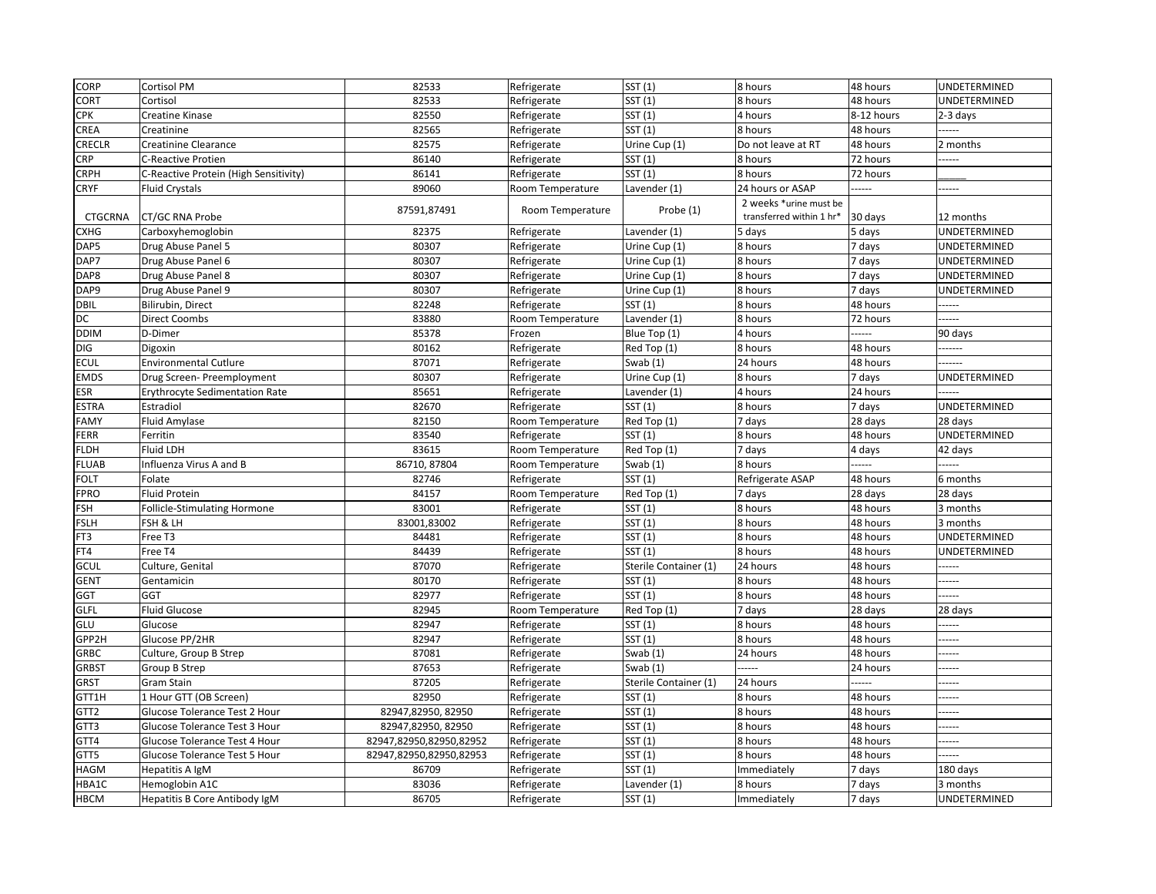| <b>CORP</b>      | <b>Cortisol PM</b>                    | 82533                   | Refrigerate      | SST (1)               | 8 hours                  | 48 hours   | UNDETERMINED |
|------------------|---------------------------------------|-------------------------|------------------|-----------------------|--------------------------|------------|--------------|
| <b>CORT</b>      | Cortisol                              | 82533                   | Refrigerate      | SST(1)                | 8 hours                  | 48 hours   | UNDETERMINED |
| <b>CPK</b>       | Creatine Kinase                       | 82550                   | Refrigerate      | SST(1)                | 4 hours                  | 8-12 hours | 2-3 days     |
| <b>CREA</b>      | Creatinine                            | 82565                   | Refrigerate      | SST(1)                | 8 hours                  | 48 hours   | .            |
| <b>CRECLR</b>    | <b>Creatinine Clearance</b>           | 82575                   | Refrigerate      | Urine Cup (1)         | Do not leave at RT       | 48 hours   | 2 months     |
| <b>CRP</b>       | <b>C-Reactive Protien</b>             | 86140                   | Refrigerate      | SST(1)                | 8 hours                  | 72 hours   | .            |
| <b>CRPH</b>      | C-Reactive Protein (High Sensitivity) | 86141                   | Refrigerate      | SST (1)               | 8 hours                  | 72 hours   |              |
| <b>CRYF</b>      | <b>Fluid Crystals</b>                 | 89060                   | Room Temperature | Lavender (1)          | 24 hours or ASAP         | ------     | .            |
|                  |                                       |                         |                  |                       | 2 weeks *urine must be   |            |              |
| <b>CTGCRNA</b>   | <b>CT/GC RNA Probe</b>                | 87591,87491             | Room Temperature | Probe (1)             | transferred within 1 hr* | 30 days    | 12 months    |
| <b>CXHG</b>      | Carboxyhemoglobin                     | 82375                   | Refrigerate      | Lavender (1)          | 5 days                   | 5 days     | UNDETERMINED |
| DAP5             | Drug Abuse Panel 5                    | 80307                   | Refrigerate      | Urine Cup (1)         | 8 hours                  | 7 days     | UNDETERMINED |
| DAP7             | Drug Abuse Panel 6                    | 80307                   | Refrigerate      | Urine Cup (1)         | 8 hours                  | 7 days     | UNDETERMINED |
| DAP8             | Drug Abuse Panel 8                    | 80307                   | Refrigerate      | Urine Cup (1)         | 8 hours                  | 7 days     | UNDETERMINED |
| DAP9             | Drug Abuse Panel 9                    | 80307                   | Refrigerate      | Urine Cup (1)         | 8 hours                  | 7 days     | UNDETERMINED |
| <b>DBIL</b>      | Bilirubin, Direct                     | 82248                   | Refrigerate      | SST(1)                | 8 hours                  | 48 hours   | .            |
| DC               | <b>Direct Coombs</b>                  | 83880                   | Room Temperature | Lavender (1)          | 8 hours                  | 72 hours   | .            |
| <b>DDIM</b>      | D-Dimer                               | 85378                   | Frozen           | Blue Top (1)          | 4 hours                  | -----      | 90 days      |
| DIG              | Digoxin                               | 80162                   | Refrigerate      | Red Top (1)           | 8 hours                  | 48 hours   | -------      |
| <b>ECUL</b>      | <b>Environmental Cutlure</b>          | 87071                   | Refrigerate      | Swab $(1)$            | 24 hours                 | 48 hours   | -------      |
| <b>EMDS</b>      | Drug Screen- Preemployment            | 80307                   | Refrigerate      | Urine Cup (1)         | 8 hours                  | 7 days     | UNDETERMINED |
| <b>ESR</b>       | <b>Erythrocyte Sedimentation Rate</b> | 85651                   | Refrigerate      | Lavender (1)          | 4 hours                  | 24 hours   | .            |
| <b>ESTRA</b>     | Estradiol                             | 82670                   | Refrigerate      | SST (1)               | 8 hours                  | 7 days     | UNDETERMINED |
| FAMY             | Fluid Amylase                         | 82150                   | Room Temperature | Red Top (1)           | 7 days                   | 28 days    | 28 days      |
| <b>FERR</b>      | Ferritin                              | 83540                   | Refrigerate      | SST(1)                | 8 hours                  | 48 hours   | UNDETERMINED |
| <b>FLDH</b>      | <b>Fluid LDH</b>                      | 83615                   | Room Temperature | Red Top (1)           | 7 days                   | 4 days     | 42 days      |
| FLUAB            | Influenza Virus A and B               | 86710, 87804            | Room Temperature | Swab $(1)$            | 8 hours                  | ------     | .            |
| FOLT             | Folate                                | 82746                   | Refrigerate      | SST (1)               | Refrigerate ASAP         | 48 hours   | 6 months     |
| <b>FPRO</b>      | <b>Fluid Protein</b>                  | 84157                   | Room Temperature | Red Top (1)           | 7 days                   | 28 days    | 28 days      |
| FSH              | Follicle-Stimulating Hormone          | 83001                   | Refrigerate      | SST(1)                | 8 hours                  | 48 hours   | 3 months     |
| FSLH             | FSH & LH                              | 83001,83002             | Refrigerate      | SST(1)                | 8 hours                  | 48 hours   | 3 months     |
| FT3              | Free T3                               | 84481                   | Refrigerate      | SST(1)                | 8 hours                  | 48 hours   | UNDETERMINED |
| FT4              | Free T4                               | 84439                   | Refrigerate      | SST(1)                | 8 hours                  | 48 hours   | UNDETERMINED |
| GCUL             | Culture, Genital                      | 87070                   | Refrigerate      | Sterile Container (1) | 24 hours                 | 48 hours   |              |
| GENT             | Gentamicin                            | 80170                   | Refrigerate      | SST(1)                | 8 hours                  | 48 hours   | .            |
| <b>GGT</b>       | <b>GGT</b>                            | 82977                   | Refrigerate      | SST(1)                | 8 hours                  | 48 hours   | .            |
| GLFL             | <b>Fluid Glucose</b>                  | 82945                   | Room Temperature | Red Top (1)           | 7 days                   | 28 days    | 28 days      |
| GLU              | Glucose                               | 82947                   | Refrigerate      | SST(1)                | 8 hours                  | 48 hours   | .            |
| GPP2H            | Glucose PP/2HR                        | 82947                   | Refrigerate      | SST(1)                | 8 hours                  | 48 hours   |              |
| GRBC             | Culture, Group B Strep                | 87081                   | Refrigerate      | Swab $(1)$            | 24 hours                 | 48 hours   | -----        |
| GRBST            | <b>Group B Strep</b>                  | 87653                   | Refrigerate      | Swab $(1)$            | ------                   | 24 hours   | -----        |
| GRST             | Gram Stain                            | 87205                   | Refrigerate      | Sterile Container (1) | 24 hours                 | -----      | -----        |
| GTT1H            | 1 Hour GTT (OB Screen)                | 82950                   | Refrigerate      | SST(1)                | 8 hours                  | 48 hours   | .            |
| GTT <sub>2</sub> | Glucose Tolerance Test 2 Hour         | 82947,82950, 82950      | Refrigerate      | SST(1)                | 8 hours                  | 48 hours   |              |
| GTT3             | Glucose Tolerance Test 3 Hour         | 82947,82950, 82950      | Refrigerate      | SST (1)               | 8 hours                  | 48 hours   | -----        |
| GTT4             | Glucose Tolerance Test 4 Hour         | 82947,82950,82950,82952 | Refrigerate      | SST(1)                | 8 hours                  | 48 hours   | -----        |
| GTT5             | Glucose Tolerance Test 5 Hour         | 82947,82950,82950,82953 | Refrigerate      | SST(1)                | 8 hours                  | 48 hours   | .            |
| <b>HAGM</b>      | Hepatitis A IgM                       | 86709                   | Refrigerate      | SST(1)                | Immediately              | 7 days     | 180 days     |
| HBA1C            | Hemoglobin A1C                        | 83036                   | Refrigerate      | Lavender (1)          | 8 hours                  | 7 days     | 3 months     |
| <b>HBCM</b>      | Hepatitis B Core Antibody IgM         | 86705                   | Refrigerate      | SST(1)                | Immediately              | 7 days     | UNDETERMINED |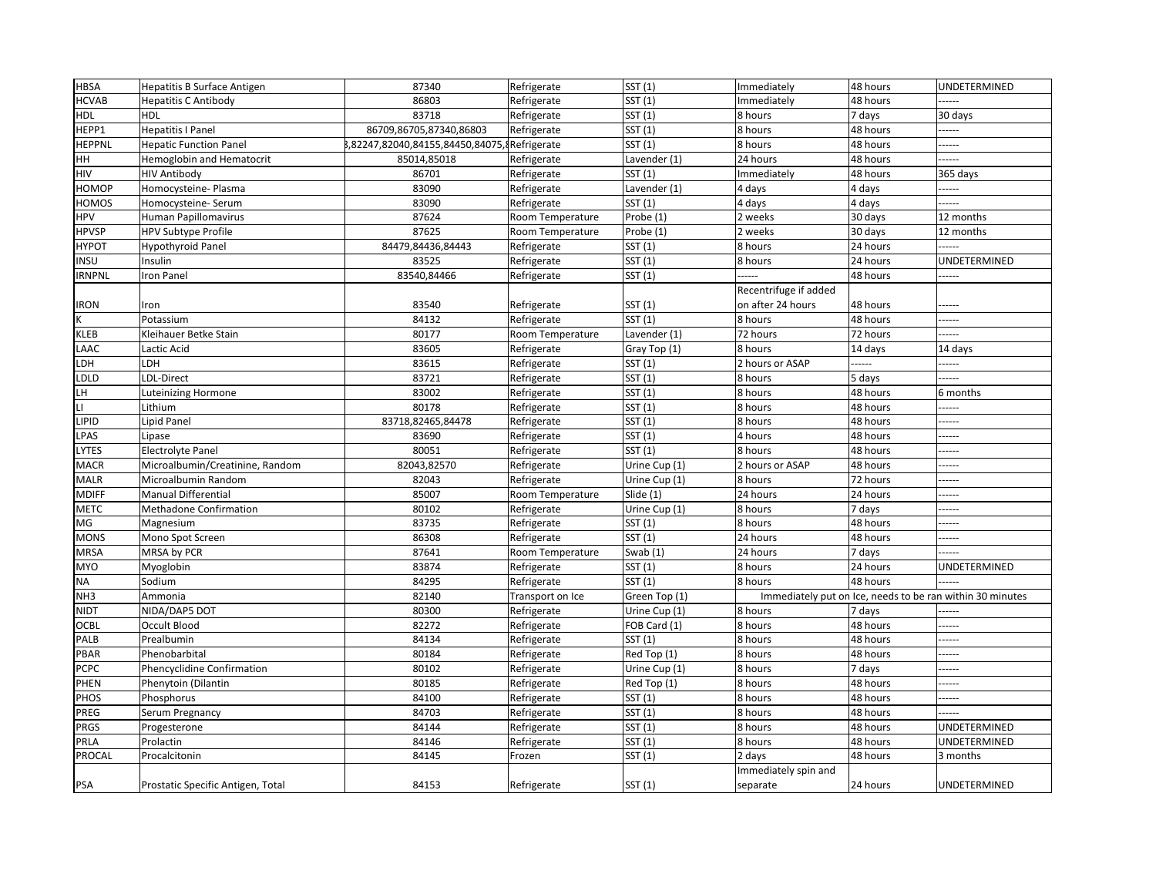| <b>HBSA</b>            | Hepatitis B Surface Antigen       | 87340                                       | Refrigerate             | SST(1)        | Immediately           | 48 hours | UNDETERMINED                                              |
|------------------------|-----------------------------------|---------------------------------------------|-------------------------|---------------|-----------------------|----------|-----------------------------------------------------------|
| <b>HCVAB</b>           | <b>Hepatitis C Antibody</b>       | 86803                                       | Refrigerate             | SST(1)        | Immediately           | 48 hours | -----                                                     |
| <b>HDL</b>             | <b>HDL</b>                        | 83718                                       | Refrigerate             | SST(1)        | 8 hours               | 7 days   | 30 days                                                   |
| HEPP1                  | <b>Hepatitis I Panel</b>          | 86709,86705,87340,86803                     | Refrigerate             | SST (1)       | 8 hours               | 48 hours |                                                           |
| <b>HEPPNL</b>          | <b>Hepatic Function Panel</b>     | ,82247,82040,84155,84450,84075, Refrigerate |                         | SST (1)       | 8 hours               | 48 hours | -----                                                     |
| <b>HH</b>              | Hemoglobin and Hematocrit         | 85014,85018                                 | Refrigerate             | Lavender (1)  | 24 hours              | 48 hours |                                                           |
| <b>HIV</b>             | <b>HIV Antibody</b>               | 86701                                       | Refrigerate             | SST (1)       | Immediately           | 48 hours | 365 days                                                  |
| HOMOP                  | Homocysteine- Plasma              | 83090                                       | Refrigerate             | Lavender (1)  | 4 days                | 4 days   |                                                           |
| <b>HOMOS</b>           | Homocysteine-Serum                | 83090                                       | Refrigerate             | SST (1)       | 4 days                | 4 days   | -----                                                     |
| <b>HPV</b>             | Human Papillomavirus              | 87624                                       | Room Temperature        | Probe (1)     | 2 weeks               | 30 days  | 12 months                                                 |
| <b>HPVSP</b>           | <b>HPV Subtype Profile</b>        | 87625                                       | Room Temperature        | Probe (1)     | 2 weeks               | 30 days  | 12 months                                                 |
| <b>HYPOT</b>           | <b>Hypothyroid Panel</b>          | 84479,84436,84443                           | Refrigerate             | SST (1)       | 8 hours               | 24 hours |                                                           |
| <b>INSU</b>            | Insulin                           | 83525                                       | Refrigerate             | SST (1)       | 8 hours               | 24 hours | UNDETERMINED                                              |
| <b>IRNPNL</b>          | <b>Iron Panel</b>                 | 83540,84466                                 | Refrigerate             | SST(1)        | -----                 | 48 hours | -----                                                     |
|                        |                                   |                                             |                         |               | Recentrifuge if added |          |                                                           |
| <b>IRON</b>            | Iron                              | 83540                                       | Refrigerate             | SST(1)        | on after 24 hours     | 48 hours | -----                                                     |
| K                      | Potassium                         | 84132                                       | Refrigerate             | SST(1)        | 8 hours               | 48 hours | -----                                                     |
| <b>KLEB</b>            | Kleihauer Betke Stain             | 80177                                       | Room Temperature        | Lavender (1)  | 72 hours              | 72 hours |                                                           |
| <b>LAAC</b>            | Lactic Acid                       | 83605                                       | Refrigerate             | Gray Top (1)  | 8 hours               | 14 days  | 14 days                                                   |
| LDH                    | LDH                               | 83615                                       | Refrigerate             | SST (1)       | 2 hours or ASAP       | .        |                                                           |
| LDLD                   | LDL-Direct                        | 83721                                       | Refrigerate             | SST (1)       | 8 hours               | 5 days   | ----                                                      |
| LH.                    | <b>Luteinizing Hormone</b>        | 83002                                       | Refrigerate             | SST (1)       | 8 hours               | 48 hours | 6 months                                                  |
| $\mathsf{L}\mathsf{L}$ | Lithium                           | 80178                                       | Refrigerate             | SST(1)        | 8 hours               | 48 hours | -----                                                     |
| <b>LIPID</b>           | Lipid Panel                       | 83718,82465,84478                           | Refrigerate             | SST (1)       | 8 hours               | 48 hours | -----                                                     |
| <b>LPAS</b>            | Lipase                            | 83690                                       | Refrigerate             | SST(1)        | 4 hours               | 48 hours | -----                                                     |
| <b>LYTES</b>           | <b>Electrolyte Panel</b>          | 80051                                       | Refrigerate             | SST (1)       | 8 hours               | 48 hours | -----                                                     |
| <b>MACR</b>            | Microalbumin/Creatinine, Random   | 82043,82570                                 | Refrigerate             | Urine Cup (1) | 2 hours or ASAP       | 48 hours | -----                                                     |
| <b>MALR</b>            | Microalbumin Random               | 82043                                       | Refrigerate             | Urine Cup (1) | 8 hours               | 72 hours | -----                                                     |
| <b>MDIFF</b>           | <b>Manual Differential</b>        | 85007                                       | Room Temperature        | Slide (1)     | 24 hours              | 24 hours | -----                                                     |
| <b>METC</b>            | <b>Methadone Confirmation</b>     | 80102                                       | Refrigerate             | Urine Cup (1) | 8 hours               | 7 days   | -----                                                     |
| MG                     | Magnesium                         | 83735                                       | Refrigerate             | SST (1)       | 8 hours               | 48 hours | -----                                                     |
| <b>MONS</b>            | Mono Spot Screen                  | 86308                                       | Refrigerate             | SST (1)       | 24 hours              | 48 hours | -----                                                     |
| <b>MRSA</b>            | MRSA by PCR                       | 87641                                       | <b>Room Temperature</b> | Swab $(1)$    | 24 hours              | 7 days   | -----                                                     |
| MYO                    | Myoglobin                         | 83874                                       | Refrigerate             | SST(1)        | 8 hours               | 24 hours | UNDETERMINED                                              |
| <b>NA</b>              | Sodium                            | 84295                                       | Refrigerate             | SST(1)        | 8 hours               | 48 hours | -----                                                     |
| NH <sub>3</sub>        | Ammonia                           | 82140                                       | Transport on Ice        | Green Top (1) |                       |          | Immediately put on Ice, needs to be ran within 30 minutes |
| <b>NIDT</b>            | NIDA/DAP5 DOT                     | 80300                                       | Refrigerate             | Urine Cup (1) | 8 hours               | 7 days   | -----                                                     |
| <b>OCBL</b>            | Occult Blood                      | 82272                                       | Refrigerate             | FOB Card (1)  | 8 hours               | 48 hours | -----                                                     |
| PALB                   | Prealbumin                        | 84134                                       | Refrigerate             | SST(1)        | 8 hours               | 48 hours | -----                                                     |
| <b>PBAR</b>            | Phenobarbital                     | 80184                                       | Refrigerate             | Red Top (1)   | 8 hours               | 48 hours | -----                                                     |
| <b>PCPC</b>            | Phencyclidine Confirmation        | 80102                                       | Refrigerate             | Urine Cup (1) | 8 hours               | 7 days   | -----                                                     |
| PHEN                   | Phenytoin (Dilantin               | 80185                                       | Refrigerate             | Red Top (1)   | 8 hours               | 48 hours | -----                                                     |
| <b>PHOS</b>            | Phosphorus                        | 84100                                       | Refrigerate             | SST(1)        | 8 hours               | 48 hours | -----                                                     |
| PREG                   | Serum Pregnancy                   | 84703                                       | Refrigerate             | SST (1)       | 8 hours               | 48 hours | -----                                                     |
| <b>PRGS</b>            | Progesterone                      | 84144                                       | Refrigerate             | SST (1)       | 8 hours               | 48 hours | UNDETERMINED                                              |
| PRLA                   | Prolactin                         | 84146                                       | Refrigerate             | SST(1)        | 8 hours               | 48 hours | UNDETERMINED                                              |
| PROCAL                 | Procalcitonin                     | 84145                                       | Frozen                  | SST (1)       | 2 days                | 48 hours | 3 months                                                  |
|                        |                                   |                                             |                         |               | Immediately spin and  |          |                                                           |
| <b>PSA</b>             | Prostatic Specific Antigen, Total | 84153                                       | Refrigerate             | SST (1)       | separate              | 24 hours | UNDETERMINED                                              |
|                        |                                   |                                             |                         |               |                       |          |                                                           |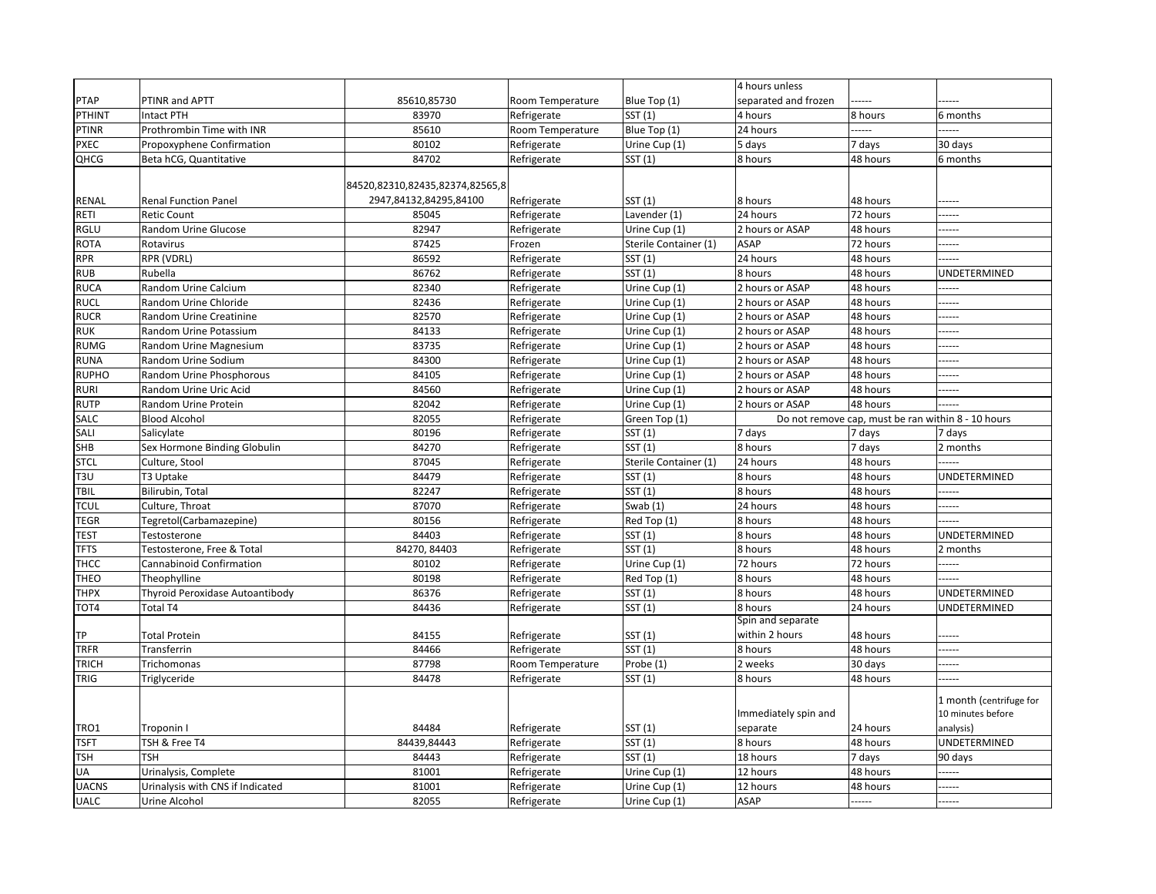|                            |                                   |                                 |                            |                                        | 4 hours unless                 |                                                    |                                              |
|----------------------------|-----------------------------------|---------------------------------|----------------------------|----------------------------------------|--------------------------------|----------------------------------------------------|----------------------------------------------|
| <b>PTAP</b>                | PTINR and APTT                    | 85610,85730                     | Room Temperature           | Blue Top (1)                           | separated and frozen           |                                                    |                                              |
| PTHINT                     | <b>Intact PTH</b>                 | 83970                           | Refrigerate                | SST(1)                                 | 4 hours                        | 8 hours                                            | 6 months                                     |
| <b>PTINR</b>               | Prothrombin Time with INR         | 85610                           | Room Temperature           | Blue Top (1)                           | 24 hours                       | -----                                              |                                              |
| <b>PXEC</b>                | <b>Propoxyphene Confirmation</b>  | 80102                           | Refrigerate                | Urine Cup (1)                          | 5 days                         | 7 days                                             | 30 days                                      |
| QHCG                       | Beta hCG, Quantitative            | 84702                           | Refrigerate                | SST (1)                                | 8 hours                        | 48 hours                                           | 6 months                                     |
|                            |                                   | 84520,82310,82435,82374,82565,8 |                            |                                        |                                |                                                    |                                              |
|                            |                                   |                                 |                            |                                        |                                |                                                    |                                              |
| <b>RENAL</b>               | <b>Renal Function Panel</b>       | 2947,84132,84295,84100<br>85045 | Refrigerate                | SST(1)                                 | 8 hours<br>24 hours            | 48 hours<br>72 hours                               | -----                                        |
| RETI                       | <b>Retic Count</b>                | 82947                           | Refrigerate                | Lavender (1)                           |                                |                                                    | ------                                       |
| <b>RGLU</b><br><b>ROTA</b> | Random Urine Glucose<br>Rotavirus | 87425                           | Refrigerate<br>Frozen      | Urine Cup (1)<br>Sterile Container (1) | 2 hours or ASAP<br><b>ASAP</b> | 48 hours<br>72 hours                               | -----                                        |
| <b>RPR</b>                 | RPR (VDRL)                        | 86592                           |                            | SST(1)                                 | 24 hours                       | 48 hours                                           | -----                                        |
| <b>RUB</b>                 | Rubella                           | 86762                           | Refrigerate                | SST(1)                                 | 8 hours                        | 48 hours                                           | -----<br>UNDETERMINED                        |
| <b>RUCA</b>                | <b>Random Urine Calcium</b>       | 82340                           | Refrigerate<br>Refrigerate | Urine Cup (1)                          | 2 hours or ASAP                | 48 hours                                           | ------                                       |
| <b>RUCL</b>                | Random Urine Chloride             | 82436                           | Refrigerate                | Urine Cup (1)                          | 2 hours or ASAP                | 48 hours                                           | -----                                        |
| <b>RUCR</b>                | Random Urine Creatinine           | 82570                           | Refrigerate                | Urine Cup (1)                          | 2 hours or ASAP                | 48 hours                                           | -----                                        |
| <b>RUK</b>                 | Random Urine Potassium            | 84133                           | Refrigerate                | Urine Cup (1)                          | 2 hours or ASAP                | 48 hours                                           | ------                                       |
| <b>RUMG</b>                | Random Urine Magnesium            | 83735                           | Refrigerate                | Urine Cup (1)                          | 2 hours or ASAP                | 48 hours                                           | -----                                        |
| <b>RUNA</b>                | Random Urine Sodium               | 84300                           | Refrigerate                | Urine Cup (1)                          | 2 hours or ASAP                | 48 hours                                           | ------                                       |
| <b>RUPHO</b>               | Random Urine Phosphorous          | 84105                           | Refrigerate                | Urine Cup (1)                          | 2 hours or ASAP                | 48 hours                                           | -----                                        |
| <b>RURI</b>                | Random Urine Uric Acid            | 84560                           | Refrigerate                | Urine Cup (1)                          | 2 hours or ASAP                | 48 hours                                           | -----                                        |
| <b>RUTP</b>                | Random Urine Protein              | 82042                           | Refrigerate                | Urine Cup (1)                          | 2 hours or ASAP                | 48 hours                                           | ------                                       |
| SALC                       | <b>Blood Alcohol</b>              | 82055                           | Refrigerate                | Green Top (1)                          |                                | Do not remove cap, must be ran within 8 - 10 hours |                                              |
| SALI                       | Salicylate                        | 80196                           | Refrigerate                | SST (1)                                | 7 days                         | 7 days                                             | 7 days                                       |
| <b>SHB</b>                 | Sex Hormone Binding Globulin      | 84270                           | Refrigerate                | SST(1)                                 | 8 hours                        | 7 days                                             | 2 months                                     |
| <b>STCL</b>                | Culture, Stool                    | 87045                           | Refrigerate                | Sterile Container (1)                  | 24 hours                       | 48 hours                                           | -----                                        |
| T <sub>3U</sub>            | T3 Uptake                         | 84479                           | Refrigerate                | SST (1)                                | 8 hours                        | 48 hours                                           | UNDETERMINED                                 |
| <b>TBIL</b>                | Bilirubin, Total                  | 82247                           | Refrigerate                | SST(1)                                 | 8 hours                        | 48 hours                                           | -----                                        |
| <b>TCUL</b>                | Culture, Throat                   | 87070                           | Refrigerate                | Swab $(1)$                             | 24 hours                       | 48 hours                                           | ------                                       |
| <b>TEGR</b>                | Tegretol(Carbamazepine)           | 80156                           | Refrigerate                | Red Top (1)                            | 8 hours                        | 48 hours                                           | -----                                        |
| <b>TEST</b>                | Testosterone                      | 84403                           | Refrigerate                | $\overline{\mathsf{SST}}(1)$           | 8 hours                        | 48 hours                                           | UNDETERMINED                                 |
| <b>TFTS</b>                | Testosterone, Free & Total        | 84270, 84403                    | Refrigerate                | SST(1)                                 | 8 hours                        | 48 hours                                           | 2 months                                     |
| <b>THCC</b>                | <b>Cannabinoid Confirmation</b>   | 80102                           | Refrigerate                | Urine Cup (1)                          | 72 hours                       | 72 hours                                           | ------                                       |
| <b>THEO</b>                | Theophylline                      | 80198                           | Refrigerate                | Red Top (1)                            | 8 hours                        | 48 hours                                           | -----                                        |
| <b>THPX</b>                | Thyroid Peroxidase Autoantibody   | 86376                           | Refrigerate                | SST(1)                                 | 8 hours                        | 48 hours                                           | UNDETERMINED                                 |
| TOT4                       | <b>Total T4</b>                   | 84436                           | Refrigerate                | SST(1)                                 | 8 hours                        | 24 hours                                           | UNDETERMINED                                 |
|                            |                                   |                                 |                            |                                        | Spin and separate              |                                                    |                                              |
| <b>TP</b>                  | <b>Total Protein</b>              | 84155                           | Refrigerate                | SST(1)                                 | within 2 hours                 | 48 hours                                           | ------                                       |
| <b>TRFR</b>                | Transferrin                       | 84466                           | Refrigerate                | SST(1)                                 | 8 hours                        | 48 hours                                           | ------                                       |
| <b>TRICH</b>               | Trichomonas                       | 87798                           | Room Temperature           | Probe (1)                              | 2 weeks                        | 30 days                                            | -----                                        |
| <b>TRIG</b>                | Triglyceride                      | 84478                           | Refrigerate                | SST(1)                                 | 8 hours                        | 48 hours                                           |                                              |
|                            |                                   |                                 |                            |                                        |                                |                                                    |                                              |
|                            |                                   |                                 |                            |                                        | Immediately spin and           |                                                    | 1 month (centrifuge for<br>10 minutes before |
| TRO1                       | Troponin I                        | 84484                           | Refrigerate                | SST(1)                                 | separate                       | 24 hours                                           | analysis)                                    |
| <b>TSFT</b>                | TSH & Free T4                     | 84439,84443                     | Refrigerate                | SST(1)                                 | 8 hours                        | 48 hours                                           | UNDETERMINED                                 |
| <b>TSH</b>                 | <b>TSH</b>                        | 84443                           | Refrigerate                | SST(1)                                 | 18 hours                       | 7 days                                             | 90 days                                      |
| UA                         | Urinalysis, Complete              | 81001                           | Refrigerate                | Urine Cup (1)                          | 12 hours                       | 48 hours                                           | -----                                        |
| <b>UACNS</b>               | Urinalysis with CNS if Indicated  | 81001                           | Refrigerate                | Urine Cup (1)                          | 12 hours                       | 48 hours                                           | -----                                        |
| <b>UALC</b>                | Urine Alcohol                     | 82055                           | Refrigerate                | Urine Cup (1)                          | <b>ASAP</b>                    | .                                                  | -----                                        |
|                            |                                   |                                 |                            |                                        |                                |                                                    |                                              |